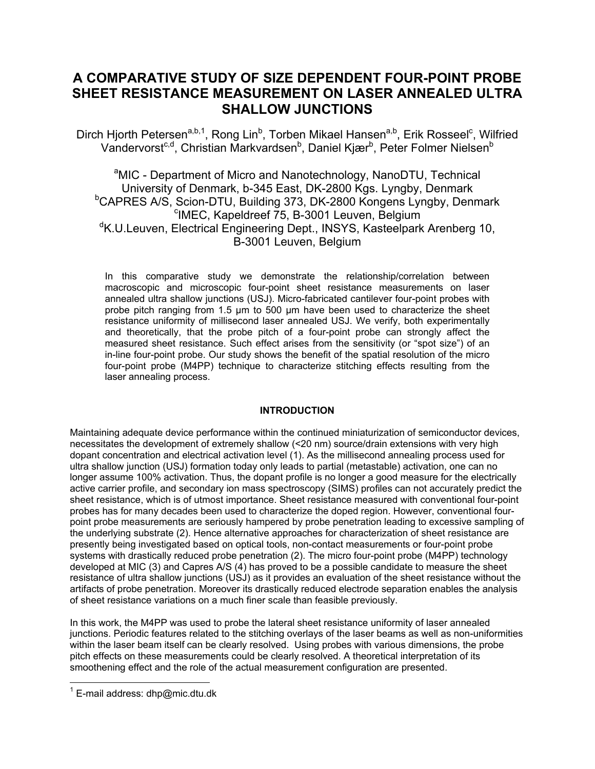# **A COMPARATIVE STUDY OF SIZE DEPENDENT FOUR-POINT PROBE SHEET RESISTANCE MEASUREMENT ON LASER ANNEALED ULTRA SHALLOW JUNCTIONS**

Dirch Hjorth Petersen<sup>a,b,1</sup>, Rong Lin<sup>b</sup>, Torben Mikael Hansen<sup>a,b</sup>, Erik Rosseel<sup>c</sup>, Wilfried Vandervorst<sup>c,d</sup>, Christian Markvardsen<sup>b</sup>, Daniel Kjær<sup>b</sup>, Peter Folmer Nielsen<sup>b</sup>

<sup>a</sup>MIC - Department of Micro and Nanotechnology, NanoDTU, Technical University of Denmark, b-345 East, DK-2800 Kgs. Lyngby, Denmark b <sup>b</sup>CAPRES A/S, Scion-DTU, Building 373, DK-2800 Kongens Lyngby, Denmark <sup>c</sup>IMEC, Kapeldreef 75, B-3001 Leuven, Belgium <sup>d</sup>K.U.Leuven, Electrical Engineering Dept., INSYS, Kasteelpark Arenberg 10, B-3001 Leuven, Belgium

In this comparative study we demonstrate the relationship/correlation between macroscopic and microscopic four-point sheet resistance measurements on laser annealed ultra shallow junctions (USJ). Micro-fabricated cantilever four-point probes with probe pitch ranging from 1.5 µm to 500 µm have been used to characterize the sheet resistance uniformity of millisecond laser annealed USJ. We verify, both experimentally and theoretically, that the probe pitch of a four-point probe can strongly affect the measured sheet resistance. Such effect arises from the sensitivity (or "spot size") of an in-line four-point probe. Our study shows the benefit of the spatial resolution of the micro four-point probe (M4PP) technique to characterize stitching effects resulting from the laser annealing process.

### **INTRODUCTION**

Maintaining adequate device performance within the continued miniaturization of semiconductor devices, necessitates the development of extremely shallow (<20 nm) source/drain extensions with very high dopant concentration and electrical activation level (1). As the millisecond annealing process used for ultra shallow junction (USJ) formation today only leads to partial (metastable) activation, one can no longer assume 100% activation. Thus, the dopant profile is no longer a good measure for the electrically active carrier profile, and secondary ion mass spectroscopy (SIMS) profiles can not accurately predict the sheet resistance, which is of utmost importance. Sheet resistance measured with conventional four-point probes has for many decades been used to characterize the doped region. However, conventional fourpoint probe measurements are seriously hampered by probe penetration leading to excessive sampling of the underlying substrate (2). Hence alternative approaches for characterization of sheet resistance are presently being investigated based on optical tools, non-contact measurements or four-point probe systems with drastically reduced probe penetration (2). The micro four-point probe (M4PP) technology developed at MIC (3) and Capres A/S (4) has proved to be a possible candidate to measure the sheet resistance of ultra shallow junctions (USJ) as it provides an evaluation of the sheet resistance without the artifacts of probe penetration. Moreover its drastically reduced electrode separation enables the analysis of sheet resistance variations on a much finer scale than feasible previously.

In this work, the M4PP was used to probe the lateral sheet resistance uniformity of laser annealed junctions. Periodic features related to the stitching overlays of the laser beams as well as non-uniformities within the laser beam itself can be clearly resolved. Using probes with various dimensions, the probe pitch effects on these measurements could be clearly resolved. A theoretical interpretation of its smoothening effect and the role of the actual measurement configuration are presented.

 $\overline{a}$ 

 $1$  E-mail address: dhp@mic.dtu.dk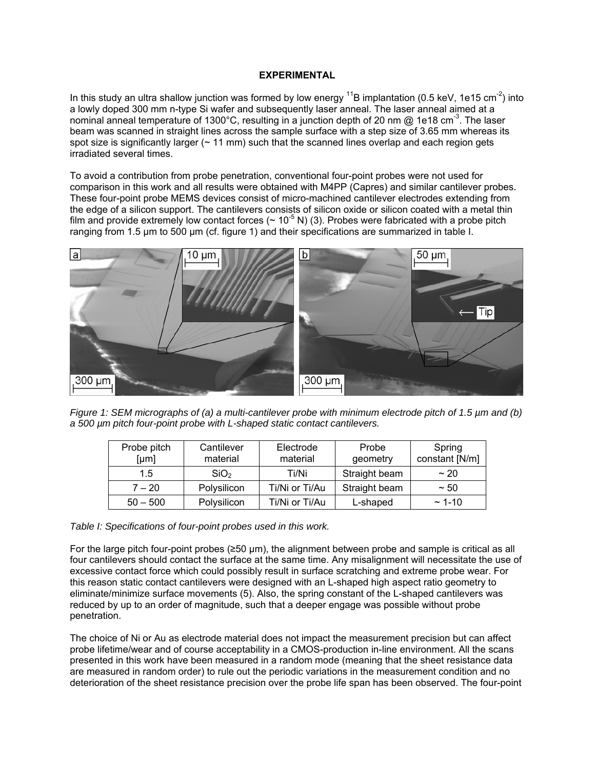# **EXPERIMENTAL**

In this study an ultra shallow junction was formed by low energy  $^{11}$ B implantation (0.5 keV, 1e15 cm<sup>-2</sup>) into a lowly doped 300 mm n-type Si wafer and subsequently laser anneal. The laser anneal aimed at a nominal anneal temperature of 1300°C, resulting in a junction depth of 20 nm  $\omega$  1e18 cm<sup>-3</sup>. The laser beam was scanned in straight lines across the sample surface with a step size of 3.65 mm whereas its spot size is significantly larger  $($   $\sim$  11 mm) such that the scanned lines overlap and each region gets irradiated several times.

To avoid a contribution from probe penetration, conventional four-point probes were not used for comparison in this work and all results were obtained with M4PP (Capres) and similar cantilever probes. These four-point probe MEMS devices consist of micro-machined cantilever electrodes extending from the edge of a silicon support. The cantilevers consists of silicon oxide or silicon coated with a metal thin film and provide extremely low contact forces ( $\sim 10^{-5}$  N) (3). Probes were fabricated with a probe pitch ranging from 1.5 µm to 500 µm (cf. figure 1) and their specifications are summarized in table I.



*Figure 1: SEM micrographs of (a) a multi-cantilever probe with minimum electrode pitch of 1.5 µm and (b) a 500 µm pitch four-point probe with L-shaped static contact cantilevers.* 

| Probe pitch<br>[µm] | Cantilever<br>material | Electrode<br>material | Probe<br>geometry | Spring<br>constant [N/m] |
|---------------------|------------------------|-----------------------|-------------------|--------------------------|
| 1.5                 | SiO <sub>2</sub>       | Ti/Ni                 | Straight beam     | ~20                      |
| $7 - 20$            | Polysilicon            | Ti/Ni or Ti/Au        | Straight beam     | ~50                      |
| $50 - 500$          | Polysilicon            | Ti/Ni or Ti/Au        | L-shaped          | $~1 - 10$                |

### *Table I: Specifications of four-point probes used in this work.*

For the large pitch four-point probes (≥50 µm), the alignment between probe and sample is critical as all four cantilevers should contact the surface at the same time. Any misalignment will necessitate the use of excessive contact force which could possibly result in surface scratching and extreme probe wear. For this reason static contact cantilevers were designed with an L-shaped high aspect ratio geometry to eliminate/minimize surface movements (5). Also, the spring constant of the L-shaped cantilevers was reduced by up to an order of magnitude, such that a deeper engage was possible without probe penetration.

The choice of Ni or Au as electrode material does not impact the measurement precision but can affect probe lifetime/wear and of course acceptability in a CMOS-production in-line environment. All the scans presented in this work have been measured in a random mode (meaning that the sheet resistance data are measured in random order) to rule out the periodic variations in the measurement condition and no deterioration of the sheet resistance precision over the probe life span has been observed. The four-point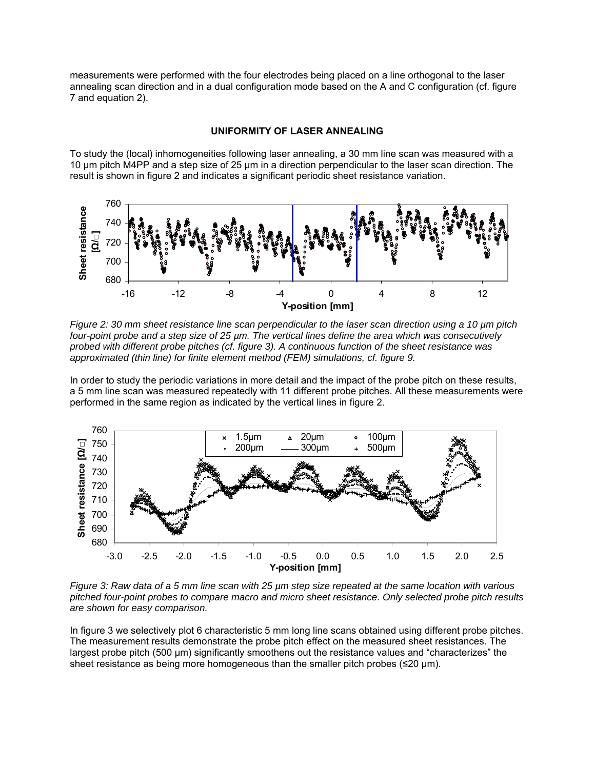measurements were performed with the four electrodes being placed on a line orthogonal to the laser annealing scan direction and in a dual configuration mode based on the A and C configuration (cf. figure 7 and equation 2).

## **UNIFORMITY OF LASER ANNEALING**

To study the (local) inhomogeneities following laser annealing, a 30 mm line scan was measured with a 10 µm pitch M4PP and a step size of 25 µm in a direction perpendicular to the laser scan direction. The result is shown in figure 2 and indicates a significant periodic sheet resistance variation.



*Figure 2: 30 mm sheet resistance line scan perpendicular to the laser scan direction using a 10 µm pitch four-point probe and a step size of 25 µm. The vertical lines define the area which was consecutively probed with different probe pitches (cf. figure 3). A continuous function of the sheet resistance was approximated (thin line) for finite element method (FEM) simulations, cf. figure 9.* 

In order to study the periodic variations in more detail and the impact of the probe pitch on these results, a 5 mm line scan was measured repeatedly with 11 different probe pitches. All these measurements were performed in the same region as indicated by the vertical lines in figure 2.



*Figure 3: Raw data of a 5 mm line scan with 25 µm step size repeated at the same location with various pitched four-point probes to compare macro and micro sheet resistance. Only selected probe pitch results are shown for easy comparison.* 

In figure 3 we selectively plot 6 characteristic 5 mm long line scans obtained using different probe pitches. The measurement results demonstrate the probe pitch effect on the measured sheet resistances. The largest probe pitch (500 µm) significantly smoothens out the resistance values and "characterizes" the sheet resistance as being more homogeneous than the smaller pitch probes  $(\leq 20 \text{ µm})$ .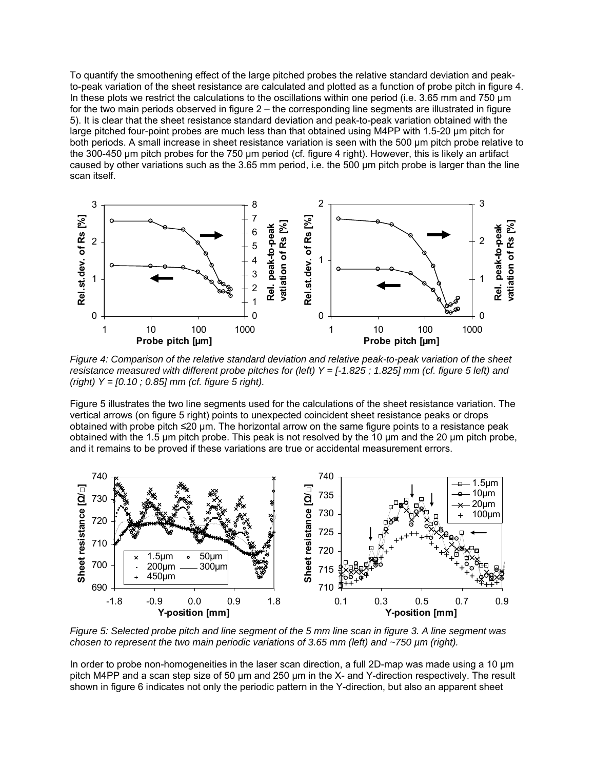To quantify the smoothening effect of the large pitched probes the relative standard deviation and peakto-peak variation of the sheet resistance are calculated and plotted as a function of probe pitch in figure 4. In these plots we restrict the calculations to the oscillations within one period (i.e. 3.65 mm and 750 um for the two main periods observed in figure 2 – the corresponding line segments are illustrated in figure 5). It is clear that the sheet resistance standard deviation and peak-to-peak variation obtained with the large pitched four-point probes are much less than that obtained using M4PP with 1.5-20 µm pitch for both periods. A small increase in sheet resistance variation is seen with the 500 µm pitch probe relative to the 300-450 µm pitch probes for the 750 µm period (cf. figure 4 right). However, this is likely an artifact caused by other variations such as the 3.65 mm period, i.e. the 500 µm pitch probe is larger than the line scan itself.



*Figure 4: Comparison of the relative standard deviation and relative peak-to-peak variation of the sheet resistance measured with different probe pitches for (left) Y = [-1.825 ; 1.825] mm (cf. figure 5 left) and (right) Y = [0.10 ; 0.85] mm (cf. figure 5 right).* 

Figure 5 illustrates the two line segments used for the calculations of the sheet resistance variation. The vertical arrows (on figure 5 right) points to unexpected coincident sheet resistance peaks or drops obtained with probe pitch ≤20 µm. The horizontal arrow on the same figure points to a resistance peak obtained with the 1.5 µm pitch probe. This peak is not resolved by the 10 µm and the 20 µm pitch probe, and it remains to be proved if these variations are true or accidental measurement errors.



*Figure 5: Selected probe pitch and line segment of the 5 mm line scan in figure 3. A line segment was chosen to represent the two main periodic variations of 3.65 mm (left) and ~750 µm (right).* 

In order to probe non-homogeneities in the laser scan direction, a full 2D-map was made using a 10 µm pitch M4PP and a scan step size of 50 µm and 250 µm in the X- and Y-direction respectively. The result shown in figure 6 indicates not only the periodic pattern in the Y-direction, but also an apparent sheet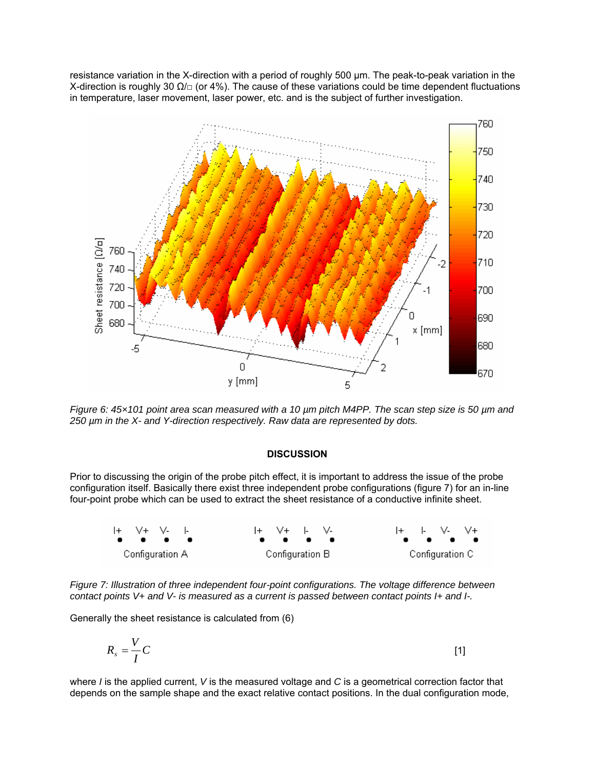resistance variation in the X-direction with a period of roughly 500 µm. The peak-to-peak variation in the X-direction is roughly 30  $\Omega/\Box$  (or 4%). The cause of these variations could be time dependent fluctuations in temperature, laser movement, laser power, etc. and is the subject of further investigation.



*Figure 6: 45×101 point area scan measured with a 10 µm pitch M4PP. The scan step size is 50 µm and 250 µm in the X- and Y-direction respectively. Raw data are represented by dots.* 

# **DISCUSSION**

Prior to discussing the origin of the probe pitch effect, it is important to address the issue of the probe configuration itself. Basically there exist three independent probe configurations (figure 7) for an in-line four-point probe which can be used to extract the sheet resistance of a conductive infinite sheet.



*Figure 7: Illustration of three independent four-point configurations. The voltage difference between contact points V+ and V- is measured as a current is passed between contact points I+ and I-.* 

Generally the sheet resistance is calculated from (6)

$$
R_s = \frac{V}{I}C
$$

where *I* is the applied current, *V* is the measured voltage and *C* is a geometrical correction factor that depends on the sample shape and the exact relative contact positions. In the dual configuration mode,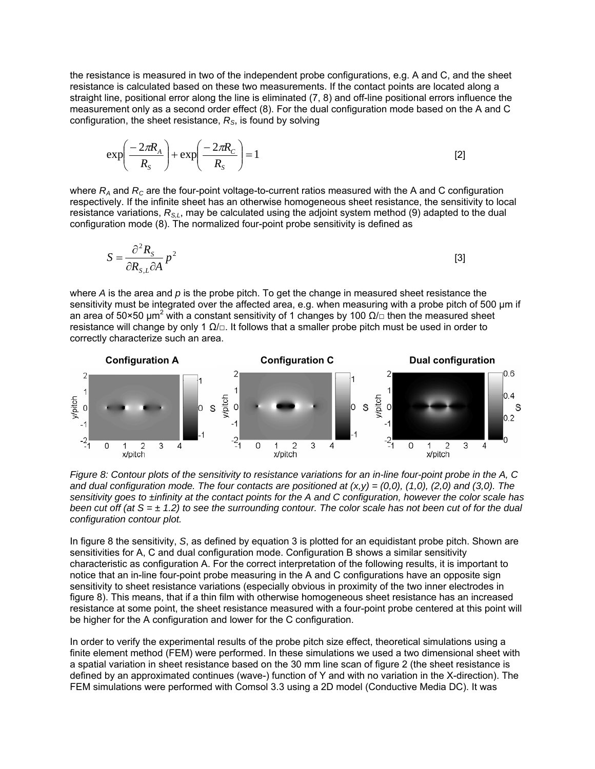the resistance is measured in two of the independent probe configurations, e.g. A and C, and the sheet resistance is calculated based on these two measurements. If the contact points are located along a straight line, positional error along the line is eliminated (7, 8) and off-line positional errors influence the measurement only as a second order effect (8). For the dual configuration mode based on the A and C configuration, the sheet resistance, *RS*, is found by solving

$$
\exp\left(\frac{-2\pi R_A}{R_S}\right) + \exp\left(\frac{-2\pi R_C}{R_S}\right) = 1
$$
 [2]

where  $R_A$  and  $R_C$  are the four-point voltage-to-current ratios measured with the A and C configuration respectively. If the infinite sheet has an otherwise homogeneous sheet resistance, the sensitivity to local resistance variations,  $R_{s,t}$ , may be calculated using the adjoint system method (9) adapted to the dual configuration mode (8). The normalized four-point probe sensitivity is defined as

$$
S = \frac{\partial^2 R_s}{\partial R_{s,L} \partial A} p^2
$$
 [3]

where *A* is the area and *p* is the probe pitch. To get the change in measured sheet resistance the sensitivity must be integrated over the affected area, e.g. when measuring with a probe pitch of 500 µm if an area of 50×50  $\mu$ m<sup>2</sup> with a constant sensitivity of 1 changes by 100  $\Omega/\Box$  then the measured sheet resistance will change by only 1  $\Omega/\square$ . It follows that a smaller probe pitch must be used in order to correctly characterize such an area.



*Figure 8: Contour plots of the sensitivity to resistance variations for an in-line four-point probe in the A, C and dual configuration mode. The four contacts are positioned at (x,y) = (0,0), (1,0), (2,0) and (3,0). The sensitivity goes to ±infinity at the contact points for the A and C configuration, however the color scale has been cut off (at S = ± 1.2) to see the surrounding contour. The color scale has not been cut of for the dual configuration contour plot.* 

In figure 8 the sensitivity, *S*, as defined by equation 3 is plotted for an equidistant probe pitch. Shown are sensitivities for A, C and dual configuration mode. Configuration B shows a similar sensitivity characteristic as configuration A. For the correct interpretation of the following results, it is important to notice that an in-line four-point probe measuring in the A and C configurations have an opposite sign sensitivity to sheet resistance variations (especially obvious in proximity of the two inner electrodes in figure 8). This means, that if a thin film with otherwise homogeneous sheet resistance has an increased resistance at some point, the sheet resistance measured with a four-point probe centered at this point will be higher for the A configuration and lower for the C configuration.

In order to verify the experimental results of the probe pitch size effect, theoretical simulations using a finite element method (FEM) were performed. In these simulations we used a two dimensional sheet with a spatial variation in sheet resistance based on the 30 mm line scan of figure 2 (the sheet resistance is defined by an approximated continues (wave-) function of Y and with no variation in the X-direction). The FEM simulations were performed with Comsol 3.3 using a 2D model (Conductive Media DC). It was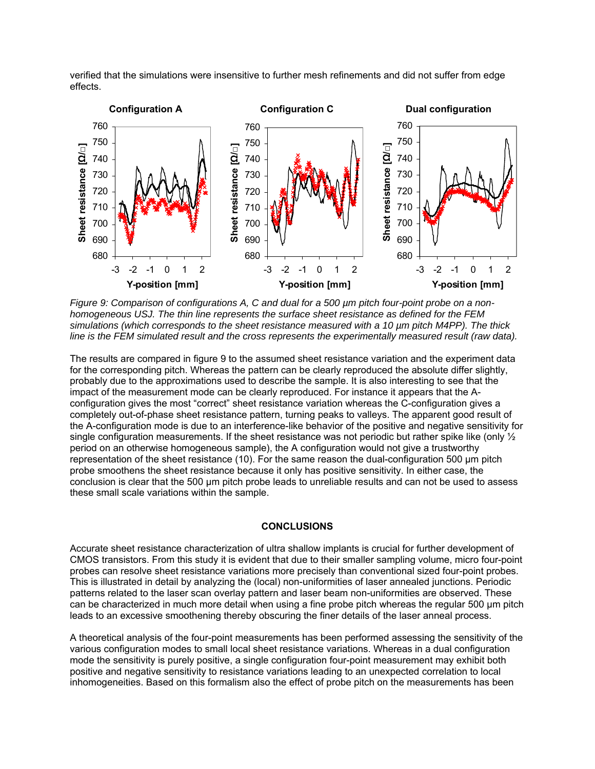

verified that the simulations were insensitive to further mesh refinements and did not suffer from edge effects.

*Figure 9: Comparison of configurations A, C and dual for a 500 µm pitch four-point probe on a nonhomogeneous USJ. The thin line represents the surface sheet resistance as defined for the FEM simulations (which corresponds to the sheet resistance measured with a 10 µm pitch M4PP). The thick line is the FEM simulated result and the cross represents the experimentally measured result (raw data).* 

The results are compared in figure 9 to the assumed sheet resistance variation and the experiment data for the corresponding pitch. Whereas the pattern can be clearly reproduced the absolute differ slightly, probably due to the approximations used to describe the sample. It is also interesting to see that the impact of the measurement mode can be clearly reproduced. For instance it appears that the Aconfiguration gives the most "correct" sheet resistance variation whereas the C-configuration gives a completely out-of-phase sheet resistance pattern, turning peaks to valleys. The apparent good result of the A-configuration mode is due to an interference-like behavior of the positive and negative sensitivity for single configuration measurements. If the sheet resistance was not periodic but rather spike like (only  $\frac{1}{2}$ ) period on an otherwise homogeneous sample), the A configuration would not give a trustworthy representation of the sheet resistance (10). For the same reason the dual-configuration 500 µm pitch probe smoothens the sheet resistance because it only has positive sensitivity. In either case, the conclusion is clear that the 500 µm pitch probe leads to unreliable results and can not be used to assess these small scale variations within the sample.

### **CONCLUSIONS**

Accurate sheet resistance characterization of ultra shallow implants is crucial for further development of CMOS transistors. From this study it is evident that due to their smaller sampling volume, micro four-point probes can resolve sheet resistance variations more precisely than conventional sized four-point probes. This is illustrated in detail by analyzing the (local) non-uniformities of laser annealed junctions. Periodic patterns related to the laser scan overlay pattern and laser beam non-uniformities are observed. These can be characterized in much more detail when using a fine probe pitch whereas the regular 500 µm pitch leads to an excessive smoothening thereby obscuring the finer details of the laser anneal process.

A theoretical analysis of the four-point measurements has been performed assessing the sensitivity of the various configuration modes to small local sheet resistance variations. Whereas in a dual configuration mode the sensitivity is purely positive, a single configuration four-point measurement may exhibit both positive and negative sensitivity to resistance variations leading to an unexpected correlation to local inhomogeneities. Based on this formalism also the effect of probe pitch on the measurements has been